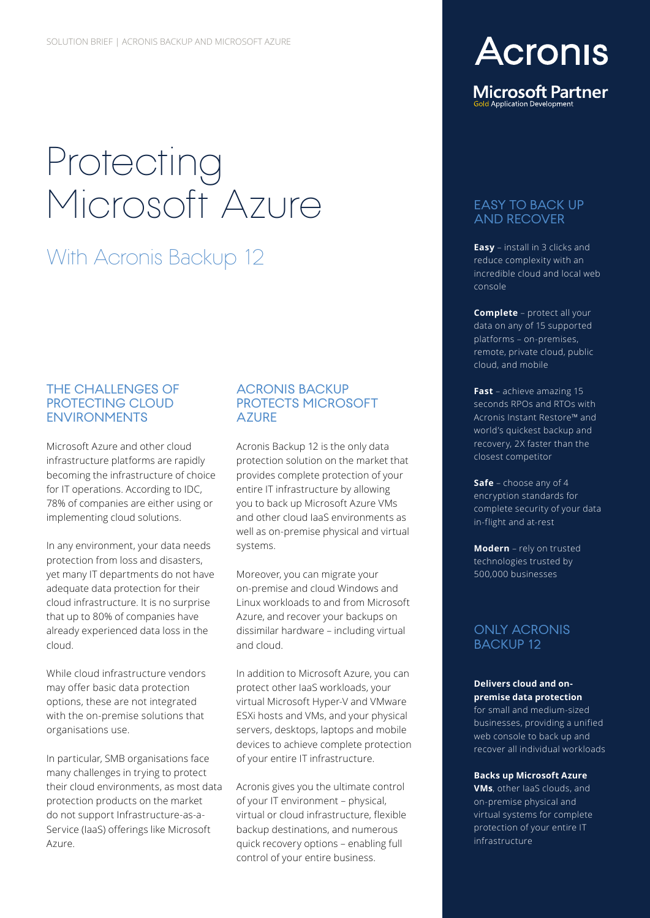# Protecting Microsoft Azure

## **With Acronis Backup 12 Easy** – install in 3 clicks and reduce complexity with an

### THE CHALLENGES OF PROTECTING CLOUD ENVIRONMENTS

Microsoft Azure and other cloud infrastructure platforms are rapidly becoming the infrastructure of choice for IT operations. According to IDC, 78% of companies are either using or implementing cloud solutions.

In any environment, your data needs protection from loss and disasters, yet many IT departments do not have adequate data protection for their cloud infrastructure. It is no surprise that up to 80% of companies have already experienced data loss in the cloud.

While cloud infrastructure vendors may offer basic data protection options, these are not integrated with the on-premise solutions that organisations use.

In particular, SMB organisations face many challenges in trying to protect their cloud environments, as most data protection products on the market do not support Infrastructure-as-a-Service (IaaS) offerings like Microsoft Azure.

### ACRONIS BACKUP PROTECTS MICROSOFT **AZURF**

Acronis Backup 12 is the only data protection solution on the market that provides complete protection of your entire IT infrastructure by allowing you to back up Microsoft Azure VMs and other cloud IaaS environments as well as on-premise physical and virtual systems.

Moreover, you can migrate your on-premise and cloud Windows and Linux workloads to and from Microsoft Azure, and recover your backups on dissimilar hardware – including virtual and cloud.

In addition to Microsoft Azure, you can protect other IaaS workloads, your virtual Microsoft Hyper-V and VMware ESXi hosts and VMs, and your physical servers, desktops, laptops and mobile devices to achieve complete protection of your entire IT infrastructure.

Acronis gives you the ultimate control of your IT environment – physical, virtual or cloud infrastructure, flexible backup destinations, and numerous quick recovery options – enabling full control of your entire business.

# **Acronis**

**Microsoft Partner** d Application Development

## EASY TO BACK UP AND RECOVER

reduce complexity with an incredible cloud and local web console

**Complete** – protect all your data on any of 15 supported platforms – on-premises, remote, private cloud, public cloud, and mobile

**Fast** – achieve amazing 15 seconds RPOs and RTOs with Acronis Instant Restore™ and world's quickest backup and recovery, 2X faster than the closest competitor

**Safe** – choose any of 4 encryption standards for complete security of your data in-flight and at-rest

**Modern** – rely on trusted technologies trusted by 500,000 businesses

## ONLY ACRONIS BACKUP 12

#### **Delivers cloud and onpremise data protection**

for small and medium-sized businesses, providing a unified web console to back up and recover all individual workloads

#### **Backs up Microsoft Azure**

**VMs**, other IaaS clouds, and on-premise physical and virtual systems for complete protection of your entire IT infrastructure